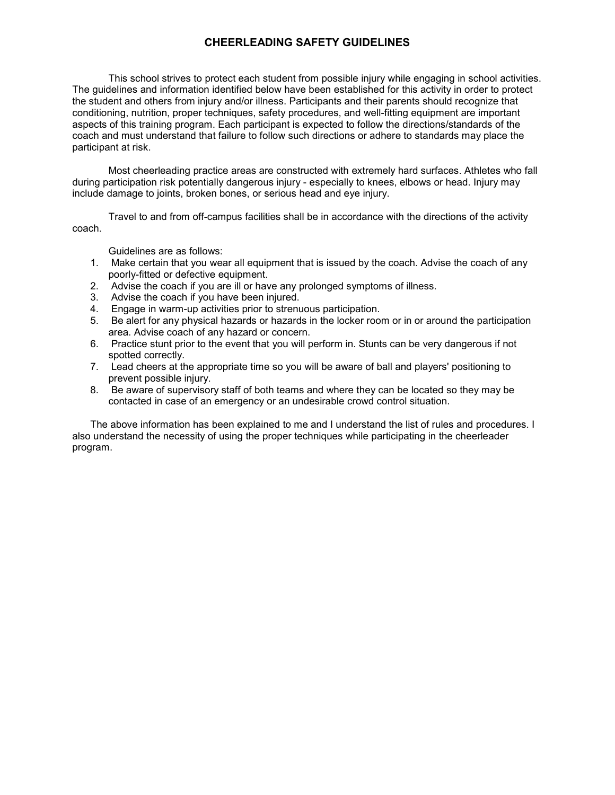## **CHEERLEADING SAFETY GUIDELINES**

 This school strives to protect each student from possible injury while engaging in school activities. The guidelines and information identified below have been established for this activity in order to protect coach and must understand that failure to follow such directions or adhere to standards may place the the student and others from injury and/or illness. Participants and their parents should recognize that conditioning, nutrition, proper techniques, safety procedures, and well-fitting equipment are important aspects of this training program. Each participant is expected to follow the directions/standards of the participant at risk.

 Most cheerleading practice areas are constructed with extremely hard surfaces. Athletes who fall include damage to joints, broken bones, or serious head and eye injury. during participation risk potentially dangerous injury - especially to knees, elbows or head. Injury may

Travel to and from off-campus facilities shall be in accordance with the directions of the activity coach.

Guidelines are as follows:

- 1. Make certain that you wear all equipment that is issued by the coach. Advise the coach of any poorly-fitted or defective equipment.
- 2. Advise the coach if you are ill or have any prolonged symptoms of illness.
- 3. Advise the coach if you have been injured.
- 4. Engage in warm-up activities prior to strenuous participation.
- 5. Be alert for any physical hazards or hazards in the locker room or in or around the participation area. Advise coach of any hazard or concern.
- 6. Practice stunt prior to the event that you will perform in. Stunts can be very dangerous if not spotted correctly.
- 7. Lead cheers at the appropriate time so you will be aware of ball and players' positioning to prevent possible injury.
- 8. Be aware of supervisory staff of both teams and where they can be located so they may be contacted in case of an emergency or an undesirable crowd control situation.

The above information has been explained to me and I understand the list of rules and procedures. I also understand the necessity of using the proper techniques while participating in the cheerleader program.